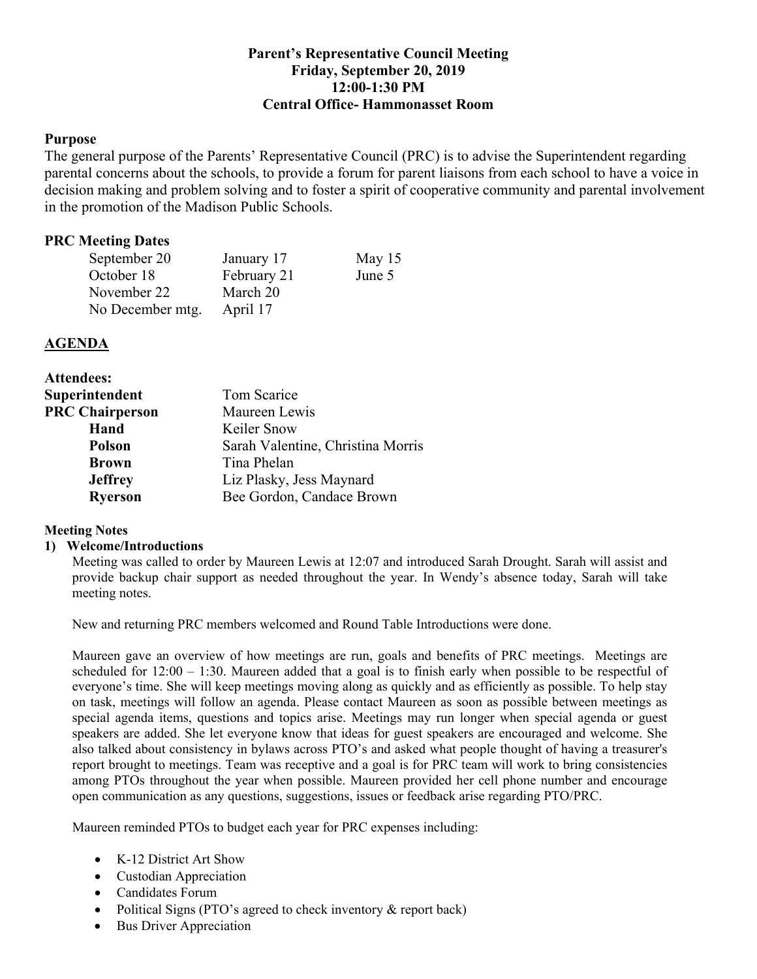# **Parent's Representative Council Meeting Friday, September 20, 2019 12:00-1:30 PM Central Office- Hammonasset Room**

#### **Purpose**

 The general purpose of the Parents' Representative Council (PRC) is to advise the Superintendent regarding parental concerns about the schools, to provide a forum for parent liaisons from each school to have a voice in decision making and problem solving and to foster a spirit of cooperative community and parental involvement in the promotion of the Madison Public Schools.

# **PRC Meeting Dates**

| September 20     | January 17  | May $15$ |
|------------------|-------------|----------|
| October 18       | February 21 | June 5   |
| November 22      | March 20    |          |
| No December mtg. | April 17    |          |

## **AGENDA**

| <b>Attendees:</b>      |                                   |  |
|------------------------|-----------------------------------|--|
| Superintendent         | Tom Scarice                       |  |
| <b>PRC Chairperson</b> | Maureen Lewis                     |  |
| Hand                   | Keiler Snow                       |  |
| <b>Polson</b>          | Sarah Valentine, Christina Morris |  |
| <b>Brown</b>           | Tina Phelan                       |  |
| <b>Jeffrey</b>         | Liz Plasky, Jess Maynard          |  |
| <b>Ryerson</b>         | Bee Gordon, Candace Brown         |  |

## **Meeting Notes**

#### **1) Welcome/Introductions**

 Meeting was called to order by Maureen Lewis at 12:07 and introduced Sarah Drought. Sarah will assist and provide backup chair support as needed throughout the year. In Wendy's absence today, Sarah will take meeting notes.

New and returning PRC members welcomed and Round Table Introductions were done.

 Maureen gave an overview of how meetings are run, goals and benefits of PRC meetings. Meetings are scheduled for 12:00 – 1:30. Maureen added that a goal is to finish early when possible to be respectful of everyone's time. She will keep meetings moving along as quickly and as efficiently as possible. To help stay on task, meetings will follow an agenda. Please contact Maureen as soon as possible between meetings as special agenda items, questions and topics arise. Meetings may run longer when special agenda or guest speakers are added. She let everyone know that ideas for guest speakers are encouraged and welcome. She also talked about consistency in bylaws across PTO's and asked what people thought of having a treasurer's report brought to meetings. Team was receptive and a goal is for PRC team will work to bring consistencies among PTOs throughout the year when possible. Maureen provided her cell phone number and encourage open communication as any questions, suggestions, issues or feedback arise regarding PTO/PRC.

Maureen reminded PTOs to budget each year for PRC expenses including:

- K-12 District Art Show
- Custodian Appreciation
- Candidates Forum
- Political Signs (PTO's agreed to check inventory & report back)
- Bus Driver Appreciation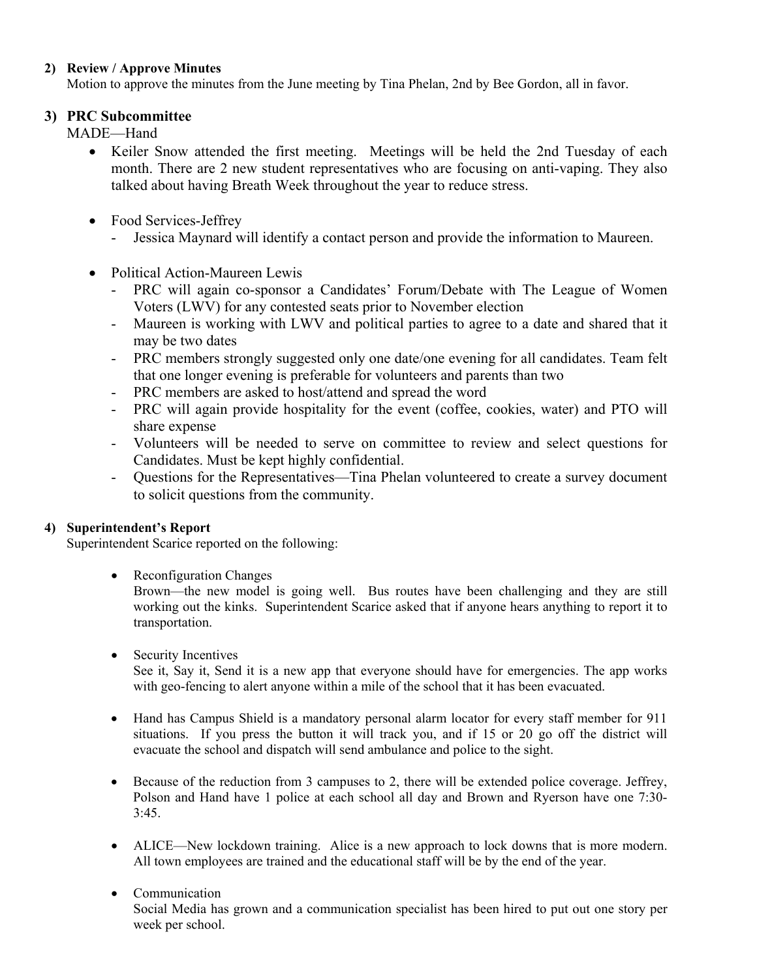## **2) Review / Approve Minutes**

Motion to approve the minutes from the June meeting by Tina Phelan, 2nd by Bee Gordon, all in favor.

# **3) PRC Subcommittee**

MADE—Hand

- • Keiler Snow attended the first meeting. Meetings will be held the 2nd Tuesday of each month. There are 2 new student representatives who are focusing on anti-vaping. They also talked about having Breath Week throughout the year to reduce stress.
- Food Services-Jeffrey
	- Jessica Maynard will identify a contact person and provide the information to Maureen.
- • Political Action-Maureen Lewis
	- - PRC will again co-sponsor a Candidates' Forum/Debate with The League of Women Voters (LWV) for any contested seats prior to November election
	- - Maureen is working with LWV and political parties to agree to a date and shared that it may be two dates
	- - PRC members strongly suggested only one date/one evening for all candidates. Team felt that one longer evening is preferable for volunteers and parents than two
	- PRC members are asked to host/attend and spread the word
	- - PRC will again provide hospitality for the event (coffee, cookies, water) and PTO will share expense
	- - Volunteers will be needed to serve on committee to review and select questions for Candidates. Must be kept highly confidential.
	- - Questions for the Representatives—Tina Phelan volunteered to create a survey document to solicit questions from the community.

## **4) Superintendent's Report**

Superintendent Scarice reported on the following:

• Reconfiguration Changes

 Brown—the new model is going well. Bus routes have been challenging and they are still working out the kinks. Superintendent Scarice asked that if anyone hears anything to report it to transportation.

- • Security Incentives See it, Say it, Send it is a new app that everyone should have for emergencies. The app works with geo-fencing to alert anyone within a mile of the school that it has been evacuated.
- • Hand has Campus Shield is a mandatory personal alarm locator for every staff member for 911 situations. If you press the button it will track you, and if 15 or 20 go off the district will evacuate the school and dispatch will send ambulance and police to the sight.
- • Because of the reduction from 3 campuses to 2, there will be extended police coverage. Jeffrey, Polson and Hand have 1 police at each school all day and Brown and Ryerson have one 7:30- 3:45.
- • ALICE—New lockdown training. Alice is a new approach to lock downs that is more modern. All town employees are trained and the educational staff will be by the end of the year.
- Communication • Communication Social Media has grown and a communication specialist has been hired to put out one story per week per school.